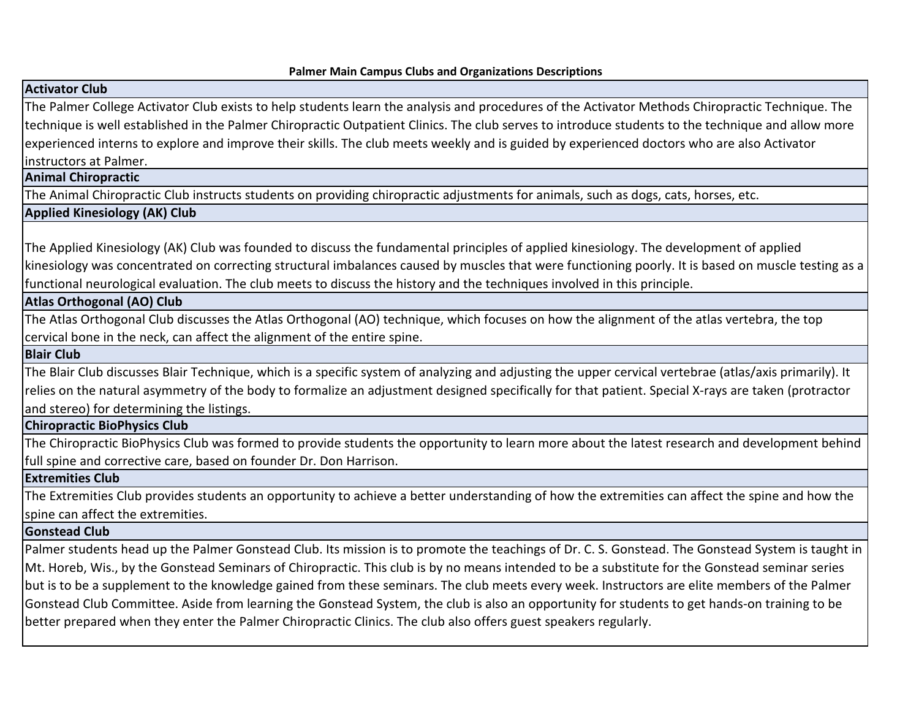# **Activator Club**

The Palmer College Activator Club exists to help students learn the analysis and procedures of the Activator Methods Chiropractic Technique. The technique is well established in the Palmer Chiropractic Outpatient Clinics. The club serves to introduce students to the technique and allow more experienced interns to explore and improve their skills. The club meets weekly and is guided by experienced doctors who are also Activator instructors at Palmer.

**Animal Chiropractic**

The Animal Chiropractic Club instructs students on providing chiropractic adjustments for animals, such as dogs, cats, horses, etc.

## **Applied Kinesiology (AK) Club**

The Applied Kinesiology (AK) Club was founded to discuss the fundamental principles of applied kinesiology. The development of applied kinesiology was concentrated on correcting structural imbalances caused by muscles that were functioning poorly. It is based on muscle testing as a functional neurological evaluation. The club meets to discuss the history and the techniques involved in this principle.

## **Atlas Orthogonal (AO) Club**

The Atlas Orthogonal Club discusses the Atlas Orthogonal (AO) technique, which focuses on how the alignment of the atlas vertebra, the top cervical bone in the neck, can affect the alignment of the entire spine.

## **Blair Club**

The Blair Club discusses Blair Technique, which is a specific system of analyzing and adjusting the upper cervical vertebrae (atlas/axis primarily). It relies on the natural asymmetry of the body to formalize an adjustment designed specifically for that patient. Special X-rays are taken (protractor and stereo) for determining the listings.

## **Chiropractic BioPhysics Club**

The Chiropractic BioPhysics Club was formed to provide students the opportunity to learn more about the latest research and development behind full spine and corrective care, based on founder Dr. Don Harrison.

#### **Extremities Club**

The Extremities Club provides students an opportunity to achieve a better understanding of how the extremities can affect the spine and how the spine can affect the extremities.

#### **Gonstead Club**

Palmer students head up the Palmer Gonstead Club. Its mission is to promote the teachings of Dr. C. S. Gonstead. The Gonstead System is taught in Mt. Horeb, Wis., by the Gonstead Seminars of Chiropractic. This club is by no means intended to be a substitute for the Gonstead seminar series but is to be a supplement to the knowledge gained from these seminars. The club meets every week. Instructors are elite members of the Palmer Gonstead Club Committee. Aside from learning the Gonstead System, the club is also an opportunity for students to get hands-on training to be better prepared when they enter the Palmer Chiropractic Clinics. The club also offers guest speakers regularly.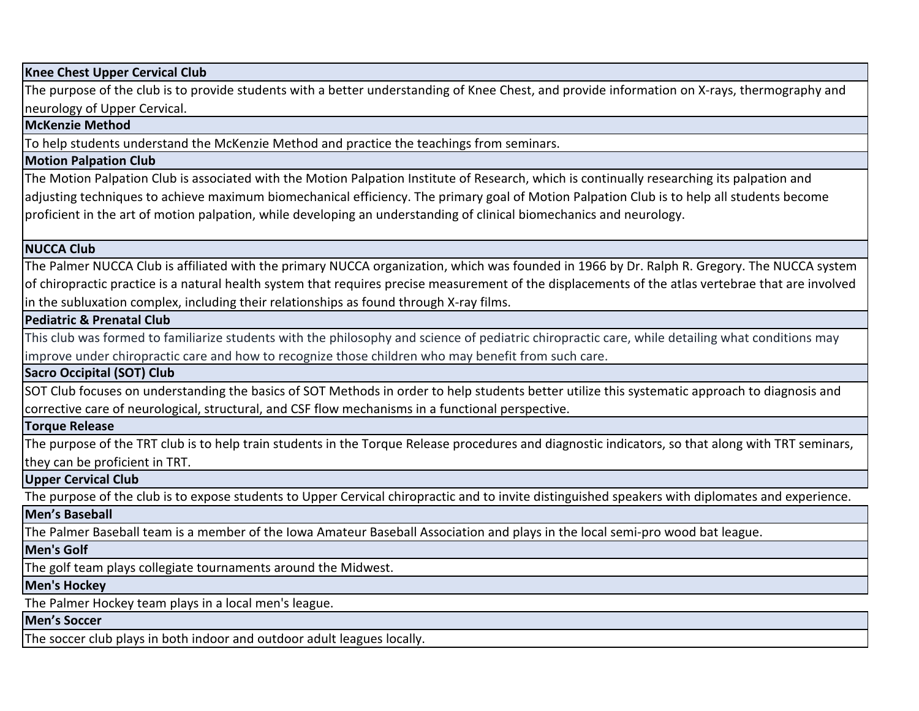#### **Knee Chest Upper Cervical Club**

The purpose of the club is to provide students with a better understanding of Knee Chest, and provide information on X-rays, thermography and neurology of Upper Cervical.

#### **McKenzie Method**

To help students understand the McKenzie Method and practice the teachings from seminars.

#### **Motion Palpation Club**

The Motion Palpation Club is associated with the Motion Palpation Institute of Research, which is continually researching its palpation and adjusting techniques to achieve maximum biomechanical efficiency. The primary goal of Motion Palpation Club is to help all students become proficient in the art of motion palpation, while developing an understanding of clinical biomechanics and neurology.

#### **NUCCA Club**

The Palmer NUCCA Club is affiliated with the primary NUCCA organization, which was founded in 1966 by Dr. Ralph R. Gregory. The NUCCA system of chiropractic practice is a natural health system that requires precise measurement of the displacements of the atlas vertebrae that are involved in the subluxation complex, including their relationships as found through X-ray films.

#### **Pediatric & Prenatal Club**

This club was formed to familiarize students with the philosophy and science of pediatric chiropractic care, while detailing what conditions may improve under chiropractic care and how to recognize those children who may benefit from such care.

## **Sacro Occipital (SOT) Club**

SOT Club focuses on understanding the basics of SOT Methods in order to help students better utilize this systematic approach to diagnosis and corrective care of neurological, structural, and CSF flow mechanisms in a functional perspective.

# **Torque Release**

The purpose of the TRT club is to help train students in the Torque Release procedures and diagnostic indicators, so that along with TRT seminars, they can be proficient in TRT.

## **Upper Cervical Club**

The purpose of the club is to expose students to Upper Cervical chiropractic and to invite distinguished speakers with diplomates and experience.

#### **Men's Baseball**

The Palmer Baseball team is a member of the Iowa Amateur Baseball Association and plays in the local semi-pro wood bat league.

#### **Men's Golf**

The golf team plays collegiate tournaments around the Midwest.

#### **Men's Hockey**

The Palmer Hockey team plays in a local men's league.

#### **Men's Soccer**

The soccer club plays in both indoor and outdoor adult leagues locally.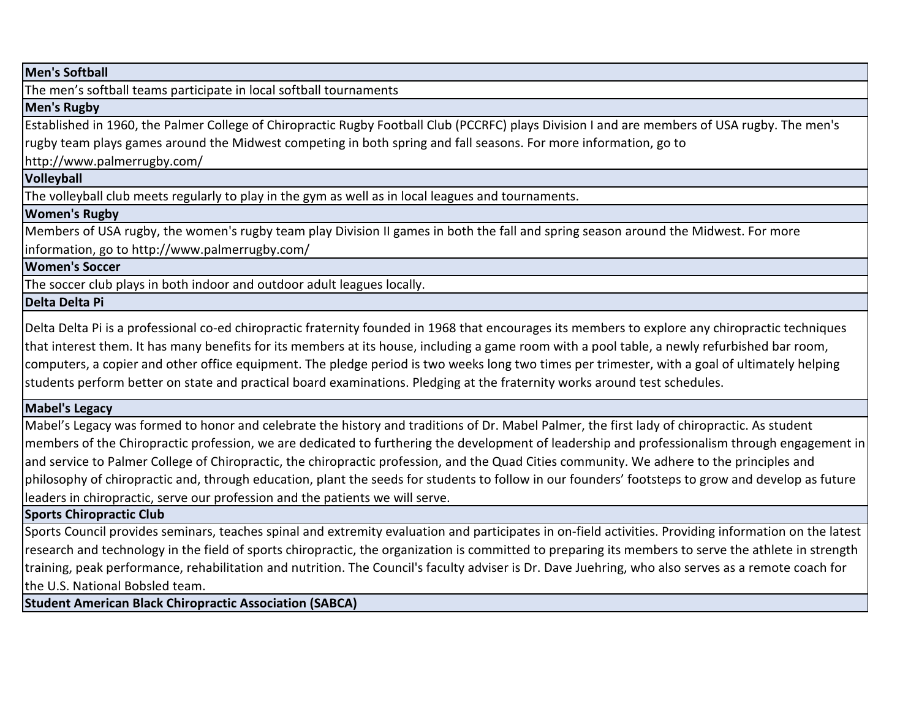**Men's Softball**

The men's softball teams participate in local softball tournaments

# **Men's Rugby**

Established in 1960, the Palmer College of Chiropractic Rugby Football Club (PCCRFC) plays Division I and are members of USA rugby. The men's rugby team plays games around the Midwest competing in both spring and fall seasons. For more information, go to

http://www.palmerrugby.com/

**Volleyball**

The volleyball club meets regularly to play in the gym as well as in local leagues and tournaments.

**Women's Rugby**

Members of USA rugby, the women's rugby team play Division II games in both the fall and spring season around the Midwest. For more information, go to http://www.palmerrugby.com/

**Women's Soccer**

The soccer club plays in both indoor and outdoor adult leagues locally.

**Delta Delta Pi**

Delta Delta Pi is a professional co-ed chiropractic fraternity founded in 1968 that encourages its members to explore any chiropractic techniques that interest them. It has many benefits for its members at its house, including a game room with a pool table, a newly refurbished bar room, computers, a copier and other office equipment. The pledge period is two weeks long two times per trimester, with a goal of ultimately helping students perform better on state and practical board examinations. Pledging at the fraternity works around test schedules.

# **Mabel's Legacy**

Mabel's Legacy was formed to honor and celebrate the history and traditions of Dr. Mabel Palmer, the first lady of chiropractic. As student members of the Chiropractic profession, we are dedicated to furthering the development of leadership and professionalism through engagement in and service to Palmer College of Chiropractic, the chiropractic profession, and the Quad Cities community. We adhere to the principles and philosophy of chiropractic and, through education, plant the seeds for students to follow in our founders' footsteps to grow and develop as future leaders in chiropractic, serve our profession and the patients we will serve.

**Sports Chiropractic Club**

Sports Council provides seminars, teaches spinal and extremity evaluation and participates in on-field activities. Providing information on the latest research and technology in the field of sports chiropractic, the organization is committed to preparing its members to serve the athlete in strength training, peak performance, rehabilitation and nutrition. The Council's faculty adviser is Dr. Dave Juehring, who also serves as a remote coach for the U.S. National Bobsled team.

**Student American Black Chiropractic Association (SABCA)**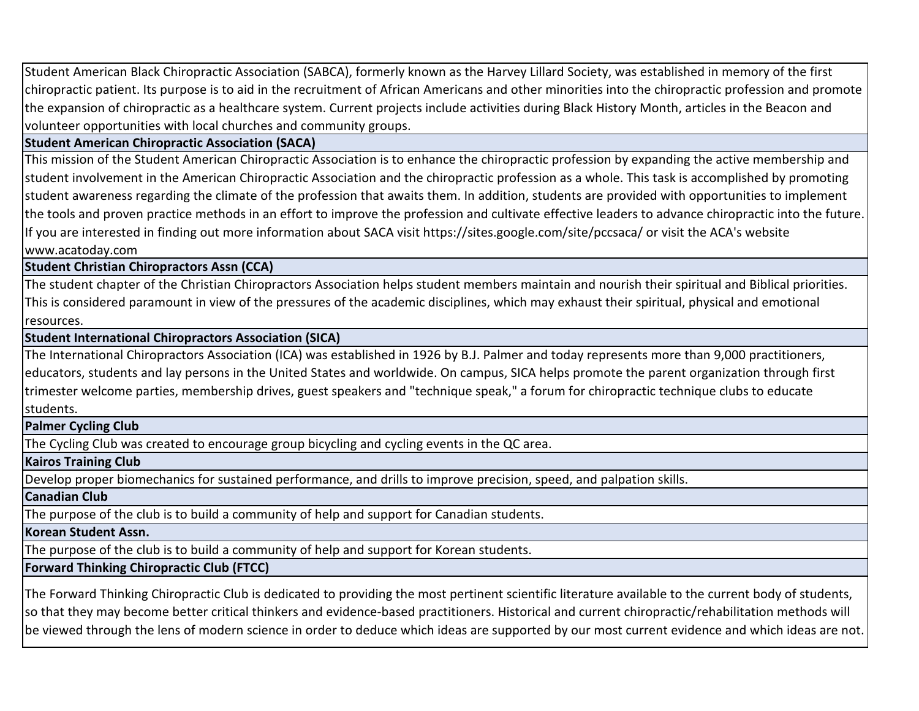Student American Black Chiropractic Association (SABCA), formerly known as the Harvey Lillard Society, was established in memory of the first chiropractic patient. Its purpose is to aid in the recruitment of African Americans and other minorities into the chiropractic profession and promote the expansion of chiropractic as a healthcare system. Current projects include activities during Black History Month, articles in the Beacon and volunteer opportunities with local churches and community groups.

# **Student American Chiropractic Association (SACA)**

This mission of the Student American Chiropractic Association is to enhance the chiropractic profession by expanding the active membership and student involvement in the American Chiropractic Association and the chiropractic profession as a whole. This task is accomplished by promoting student awareness regarding the climate of the profession that awaits them. In addition, students are provided with opportunities to implement the tools and proven practice methods in an effort to improve the profession and cultivate effective leaders to advance chiropractic into the future. If you are interested in finding out more information about SACA visit https://sites.google.com/site/pccsaca/ or visit the ACA's website www.acatoday.com

**Student Christian Chiropractors Assn (CCA)**

The student chapter of the Christian Chiropractors Association helps student members maintain and nourish their spiritual and Biblical priorities. This is considered paramount in view of the pressures of the academic disciplines, which may exhaust their spiritual, physical and emotional resources.

**Student International Chiropractors Association (SICA)**

The International Chiropractors Association (ICA) was established in 1926 by B.J. Palmer and today represents more than 9,000 practitioners, educators, students and lay persons in the United States and worldwide. On campus, SICA helps promote the parent organization through first trimester welcome parties, membership drives, guest speakers and "technique speak," a forum for chiropractic technique clubs to educate students.

**Palmer Cycling Club**

The Cycling Club was created to encourage group bicycling and cycling events in the QC area.

**Kairos Training Club**

Develop proper biomechanics for sustained performance, and drills to improve precision, speed, and palpation skills.

**Canadian Club**

The purpose of the club is to build a community of help and support for Canadian students.

**Korean Student Assn.**

The purpose of the club is to build a community of help and support for Korean students.

**Forward Thinking Chiropractic Club (FTCC)**

The Forward Thinking Chiropractic Club is dedicated to providing the most pertinent scientific literature available to the current body of students, so that they may become better critical thinkers and evidence-based practitioners. Historical and current chiropractic/rehabilitation methods will be viewed through the lens of modern science in order to deduce which ideas are supported by our most current evidence and which ideas are not.